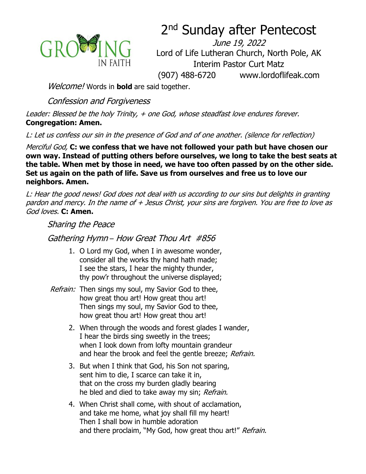

# 2<sup>nd</sup> Sunday after Pentecost

June 19, 2022 Lord of Life Lutheran Church, North Pole, AK Interim Pastor Curt Matz (907) 488-6720 www.lordoflifeak.com

Welcome! Words in **bold** are said together.

Confession and Forgiveness

Leader: Blessed be the holy Trinity, + one God, whose steadfast love endures forever. **Congregation: Amen.**

L: Let us confess our sin in the presence of God and of one another. (silence for reflection)

Merciful God, **C: we confess that we have not followed your path but have chosen our own way. Instead of putting others before ourselves, we long to take the best seats at the table. When met by those in need, we have too often passed by on the other side. Set us again on the path of life. Save us from ourselves and free us to love our neighbors. Amen.**

L: Hear the good news! God does not deal with us according to our sins but delights in granting pardon and mercy. In the name of + Jesus Christ, your sins are forgiven. You are free to love as God loves. **C: Amen.**

Sharing the Peace

Gathering Hymn – How Great Thou Art #856

- 1. O Lord my God, when I in awesome wonder, consider all the works thy hand hath made; I see the stars, I hear the mighty thunder, thy pow'r throughout the universe displayed;
- Refrain: Then sings my soul, my Savior God to thee, how great thou art! How great thou art! Then sings my soul, my Savior God to thee, how great thou art! How great thou art!
	- 2. When through the woods and forest glades I wander, I hear the birds sing sweetly in the trees; when I look down from lofty mountain grandeur and hear the brook and feel the gentle breeze; Refrain.
	- 3. But when I think that God, his Son not sparing, sent him to die, I scarce can take it in, that on the cross my burden gladly bearing he bled and died to take away my sin; Refrain.
	- 4. When Christ shall come, with shout of acclamation, and take me home, what joy shall fill my heart! Then I shall bow in humble adoration and there proclaim, "My God, how great thou art!" Refrain.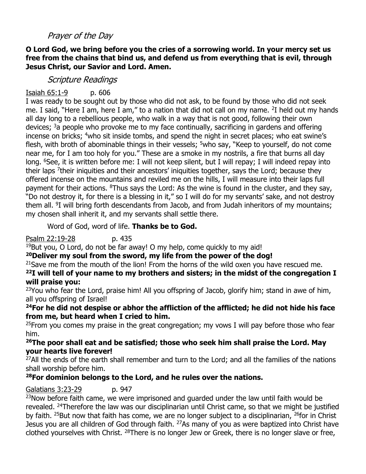#### Prayer of the Day

#### **O Lord God, we bring before you the cries of a sorrowing world. In your mercy set us free from the chains that bind us, and defend us from everything that is evil, through Jesus Christ, our Savior and Lord. Amen.**

#### Scripture Readings

#### Isaiah 65:1-9 p. 606

I was ready to be sought out by those who did not ask, to be found by those who did not seek me. I said, "Here I am, here I am," to a nation that did not call on my name. <sup>2</sup>I held out my hands all day long to a rebellious people, who walk in a way that is not good, following their own devices;  $3a$  people who provoke me to my face continually, sacrificing in gardens and offering incense on bricks; <sup>4</sup>who sit inside tombs, and spend the night in secret places; who eat swine's flesh, with broth of abominable things in their vessels;  $5$ who say, "Keep to yourself, do not come near me, for I am too holy for you." These are a smoke in my nostrils, a fire that burns all day long. <sup>6</sup>See, it is written before me: I will not keep silent, but I will repay; I will indeed repay into their laps <sup>7</sup>their iniquities and their ancestors' iniquities together, says the Lord; because they offered incense on the mountains and reviled me on the hills, I will measure into their laps full payment for their actions. <sup>8</sup>Thus says the Lord: As the wine is found in the cluster, and they say, "Do not destroy it, for there is a blessing in it," so I will do for my servants' sake, and not destroy them all. <sup>9</sup>I will bring forth descendants from Jacob, and from Judah inheritors of my mountains; my chosen shall inherit it, and my servants shall settle there.

#### Word of God, word of life. **Thanks be to God.**

#### Psalm 22:19-28 p. 435

 $19$ But you, O Lord, do not be far away! O my help, come quickly to my aid!

#### **<sup>20</sup>Deliver my soul from the sword, my life from the power of the dog!**

#### $21$ Save me from the mouth of the lion! From the horns of the wild oxen you have rescued me. **<sup>22</sup>I will tell of your name to my brothers and sisters; in the midst of the congregation I will praise you:**

 $23$ You who fear the Lord, praise him! All you offspring of Jacob, glorify him; stand in awe of him, all you offspring of Israel!

#### **<sup>24</sup>For he did not despise or abhor the affliction of the afflicted; he did not hide his face from me, but heard when I cried to him.**

<sup>25</sup> From you comes my praise in the great congregation; my vows I will pay before those who fear him.

#### **<sup>26</sup>The poor shall eat and be satisfied; those who seek him shall praise the Lord. May your hearts live forever!**

<sup>27</sup>All the ends of the earth shall remember and turn to the Lord; and all the families of the nations shall worship before him.

#### **<sup>28</sup>For dominion belongs to the Lord, and he rules over the nations.**

#### Galatians 3:23-29 p. 947

 $23$ Now before faith came, we were imprisoned and quarded under the law until faith would be revealed. <sup>24</sup>Therefore the law was our disciplinarian until Christ came, so that we might be justified by faith. <sup>25</sup>But now that faith has come, we are no longer subject to a disciplinarian, <sup>26</sup>for in Christ Jesus you are all children of God through faith. <sup>27</sup>As many of you as were baptized into Christ have clothed yourselves with Christ. <sup>28</sup>There is no longer Jew or Greek, there is no longer slave or free,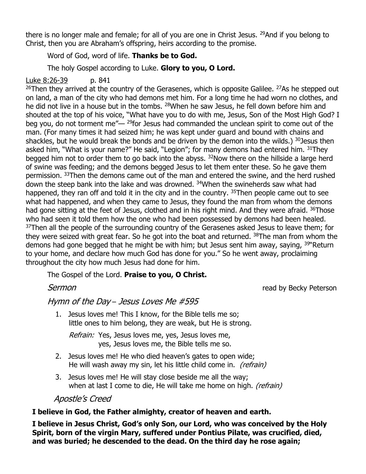there is no longer male and female; for all of you are one in Christ Jesus. <sup>29</sup>And if you belong to Christ, then you are Abraham's offspring, heirs according to the promise.

#### Word of God, word of life. **Thanks be to God.**

The holy Gospel according to Luke. **Glory to you, O Lord.**

#### Luke 8:26-39 p. 841

 $26$ Then they arrived at the country of the Gerasenes, which is opposite Galilee.  $27$ As he stepped out on land, a man of the city who had demons met him. For a long time he had worn no clothes, and he did not live in a house but in the tombs. <sup>28</sup>When he saw Jesus, he fell down before him and shouted at the top of his voice, "What have you to do with me, Jesus, Son of the Most High God? I beg you, do not torment me" $-$  <sup>29</sup>for Jesus had commanded the unclean spirit to come out of the man. (For many times it had seized him; he was kept under guard and bound with chains and shackles, but he would break the bonds and be driven by the demon into the wilds.)  $30$  Jesus then asked him, "What is your name?" He said, "Legion"; for many demons had entered him. 31They begged him not to order them to go back into the abyss. <sup>32</sup>Now there on the hillside a large herd of swine was feeding; and the demons begged Jesus to let them enter these. So he gave them permission. 33Then the demons came out of the man and entered the swine, and the herd rushed down the steep bank into the lake and was drowned. <sup>34</sup>When the swineherds saw what had happened, they ran off and told it in the city and in the country. <sup>35</sup>Then people came out to see what had happened, and when they came to Jesus, they found the man from whom the demons had gone sitting at the feet of Jesus, clothed and in his right mind. And they were afraid. <sup>36</sup>Those who had seen it told them how the one who had been possessed by demons had been healed. <sup>37</sup>Then all the people of the surrounding country of the Gerasenes asked Jesus to leave them; for they were seized with great fear. So he got into the boat and returned. <sup>38</sup>The man from whom the demons had gone begged that he might be with him; but Jesus sent him away, saying, <sup>39</sup> Return to your home, and declare how much God has done for you." So he went away, proclaiming throughout the city how much Jesus had done for him.

The Gospel of the Lord. **Praise to you, O Christ.**

Sermon **Sermon Sermon** *Sermon CO<sub>2</sub> <i>CO*<sub>2</sub> *CO<sub>2</sub> <i>CO*<sub>2</sub> *CO*<sub>2</sub> *CO*<sub>2</sub> *CO*<sub>2</sub> *CO*<sub>2</sub> *CO*<sub>2</sub> *CO*<sub>2</sub> *CO*<sub>2</sub> *CO*<sub>2</sub> *CO*<sub>2</sub> *CO*<sub>2</sub> *CO*<sub>2</sub> *CO*<sub>2</sub> *CO*<sub>2</sub> *CO*<sub>2</sub> *CO*<sub>2</sub>

#### Hymn of the Day – Jesus Loves Me #595

1. Jesus loves me! This I know, for the Bible tells me so; little ones to him belong, they are weak, but He is strong.

Refrain: Yes, Jesus loves me, yes, Jesus loves me, yes, Jesus loves me, the Bible tells me so.

- 2. Jesus loves me! He who died heaven's gates to open wide; He will wash away my sin, let his little child come in. *(refrain)*
- 3. Jesus loves me! He will stay close beside me all the way; when at last I come to die, He will take me home on high. *(refrain)*

#### Apostle's Creed

#### **I believe in God, the Father almighty, creator of heaven and earth.**

**I believe in Jesus Christ, God's only Son, our Lord, who was conceived by the Holy Spirit, born of the virgin Mary, suffered under Pontius Pilate, was crucified, died, and was buried; he descended to the dead. On the third day he rose again;**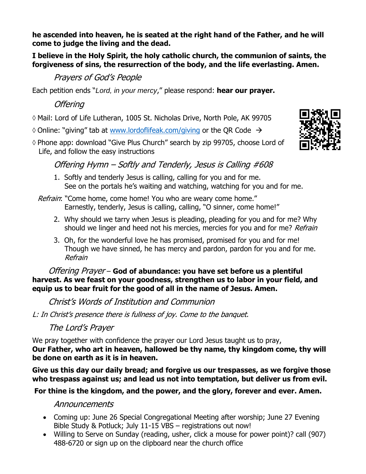**he ascended into heaven, he is seated at the right hand of the Father, and he will come to judge the living and the dead.** 

**I believe in the Holy Spirit, the holy catholic church, the communion of saints, the forgiveness of sins, the resurrection of the body, and the life everlasting. Amen.**

# Prayers of God's People

Each petition ends "*Lord, in your mercy*," please respond: **hear our prayer.**

## **Offering**

Mail: Lord of Life Lutheran, 1005 St. Nicholas Drive, North Pole, AK 99705

 $\Diamond$  Online: "giving" tab at [www.lordoflifeak.com/](http://www.lordoflifeak.com/)giving or the QR Code  $\rightarrow$ 

◊ Phone app: download "Give Plus Church" search by zip 99705, choose Lord of Life, and follow the easy instructions



1. Softly and tenderly Jesus is calling, calling for you and for me. See on the portals he's waiting and watching, watching for you and for me.

Refrain: "Come home, come home! You who are weary come home." Earnestly, tenderly, Jesus is calling, calling, "O sinner, come home!"

- 2. Why should we tarry when Jesus is pleading, pleading for you and for me? Why should we linger and heed not his mercies, mercies for you and for me? Refrain
- 3. Oh, for the wonderful love he has promised, promised for you and for me! Though we have sinned, he has mercy and pardon, pardon for you and for me. Refrain

Offering Prayer – **God of abundance: you have set before us a plentiful harvest. As we feast on your goodness, strengthen us to labor in your field, and equip us to bear fruit for the good of all in the name of Jesus. Amen.**

Christ's Words of Institution and Communion

L: In Christ's presence there is fullness of joy. Come to the banquet.

The Lord's Prayer

We pray together with confidence the prayer our Lord Jesus taught us to pray, **Our Father, who art in heaven, hallowed be thy name, thy kingdom come, thy will be done on earth as it is in heaven.** 

**Give us this day our daily bread; and forgive us our trespasses, as we forgive those who trespass against us; and lead us not into temptation, but deliver us from evil.**

### **For thine is the kingdom, and the power, and the glory, forever and ever. Amen.**

### Announcements

- Coming up: June 26 Special Congregational Meeting after worship; June 27 Evening Bible Study & Potluck; July 11-15 VBS – registrations out now!
- Willing to Serve on Sunday (reading, usher, click a mouse for power point)? call (907) 488-6720 or sign up on the clipboard near the church office